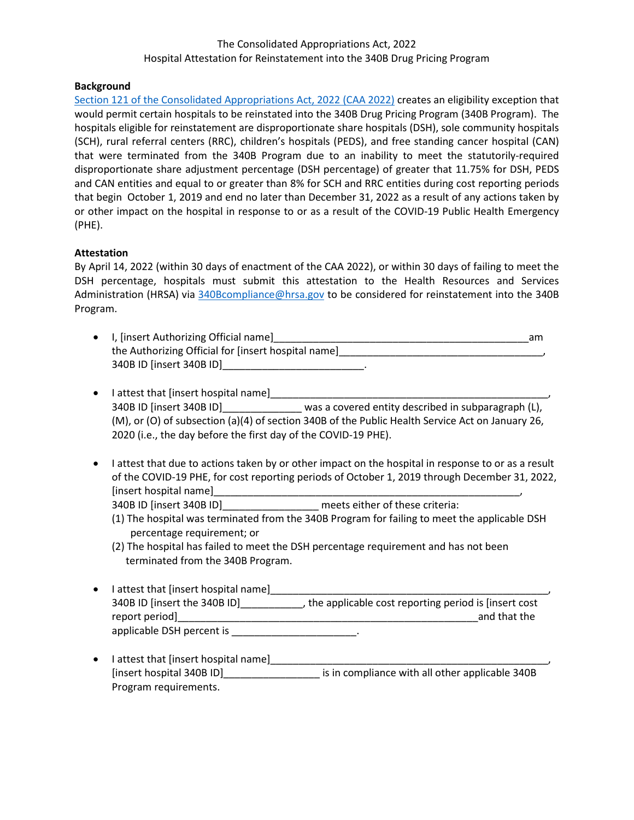# The Consolidated Appropriations Act, 2022 Hospital Attestation for Reinstatement into the 340B Drug Pricing Program

#### **Background**

[Section 121 of the Consolidated Appropriations Act,](https://www.congress.gov/117/bills/hr2471/BILLS-117hr2471enr.pdf) 2022 (CAA 2022) creates an eligibility exception that would permit certain hospitals to be reinstated into the 340B Drug Pricing Program (340B Program). The hospitals eligible for reinstatement are disproportionate share hospitals (DSH), sole community hospitals (SCH), rural referral centers (RRC), children's hospitals (PEDS), and free standing cancer hospital (CAN) that were terminated from the 340B Program due to an inability to meet the statutorily-required disproportionate share adjustment percentage (DSH percentage) of greater that 11.75% for DSH, PEDS and CAN entities and equal to or greater than 8% for SCH and RRC entities during cost reporting periods that begin October 1, 2019 and end no later than December 31, 2022 as a result of any actions taken by or other impact on the hospital in response to or as a result of the COVID-19 Public Health Emergency (PHE).

### **Attestation**

By April 14, 2022 (within 30 days of enactment of the CAA 2022), or within 30 days of failing to meet the DSH percentage, hospitals must submit this attestation to the Health Resources and Services Administration (HRSA) via [340Bcompliance@hrsa.gov](mailto:340Bcompliance@hrsa.gov) to be considered for reinstatement into the 340B Program.

| • I, [insert Authorizing Official name]             | am |
|-----------------------------------------------------|----|
| the Authorizing Official for [insert hospital name] |    |
| 340B ID [insert 340B ID]                            |    |

| $\bullet$ | I attest that [insert hospital name]                           |                                                                                                  |  |
|-----------|----------------------------------------------------------------|--------------------------------------------------------------------------------------------------|--|
|           | 340B ID [insert 340B ID]                                       | was a covered entity described in subparagraph (L),                                              |  |
|           |                                                                | (M), or (O) of subsection (a)(4) of section 340B of the Public Health Service Act on January 26, |  |
|           | 2020 (i.e., the day before the first day of the COVID-19 PHE). |                                                                                                  |  |

• I attest that due to actions taken by or other impact on the hospital in response to or as a result of the COVID-19 PHE, for cost reporting periods of October 1, 2019 through December 31, 2022, [insert hospital name]\_\_\_\_\_\_\_\_\_\_\_\_\_\_\_\_\_\_\_\_\_\_\_\_\_\_\_\_\_\_\_\_\_\_\_\_\_\_\_\_\_\_\_\_\_\_\_\_\_\_\_\_\_\_,

340B ID [insert 340B ID]\_\_\_\_\_\_\_\_\_\_\_\_\_\_\_\_\_ meets either of these criteria:

- (1) The hospital was terminated from the 340B Program for failing to meet the applicable DSH percentage requirement; or
- (2) The hospital has failed to meet the DSH percentage requirement and has not been terminated from the 340B Program.
- I attest that [insert hospital name]\_\_\_\_\_\_\_\_\_\_\_\_\_\_\_\_\_\_\_\_\_\_\_\_\_\_\_\_\_\_\_\_\_\_\_\_\_\_\_\_\_\_\_\_\_\_\_\_\_, 340B ID [insert the 340B ID]\_\_\_\_\_\_\_\_\_\_\_, the applicable cost reporting period is [insert cost report period]\_\_\_\_\_\_\_\_\_\_\_\_\_\_\_\_\_\_\_\_\_\_\_\_\_\_\_\_\_\_\_\_\_\_\_\_\_\_\_\_\_\_\_\_\_\_\_\_\_\_\_\_\_and that the applicable DSH percent is \_\_\_\_\_\_\_\_\_\_\_\_\_\_\_\_\_\_\_\_\_\_\_.
- I attest that [insert hospital name]\_\_\_\_\_\_\_\_\_\_\_\_\_\_ [insert hospital 340B ID]\_\_\_\_\_\_\_\_\_\_\_\_\_\_\_\_\_ is in compliance with all other applicable 340B Program requirements.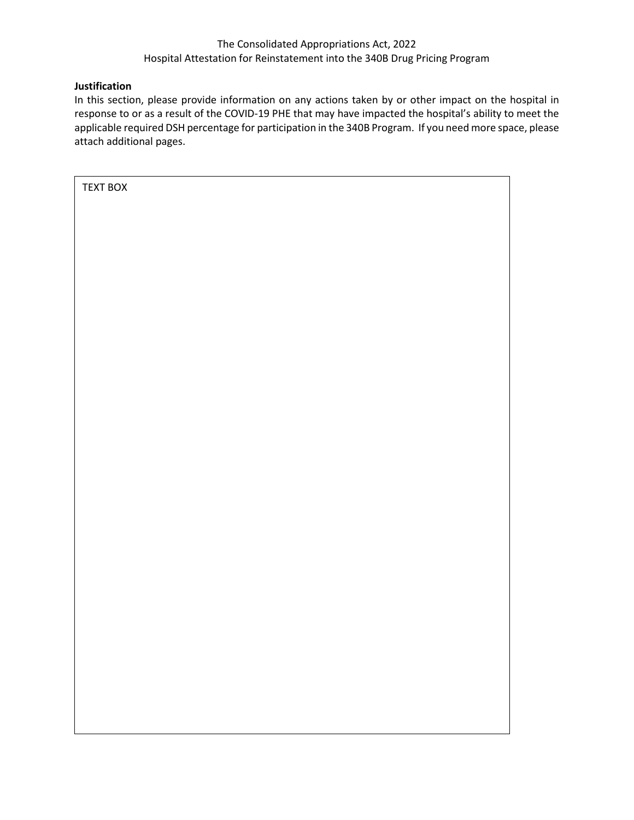# The Consolidated Appropriations Act, 2022 Hospital Attestation for Reinstatement into the 340B Drug Pricing Program

# **Justification**

In this section, please provide information on any actions taken by or other impact on the hospital in response to or as a result of the COVID-19 PHE that may have impacted the hospital's ability to meet the applicable required DSH percentage for participation in the 340B Program. If you need more space, please attach additional pages.

TEXT BOX